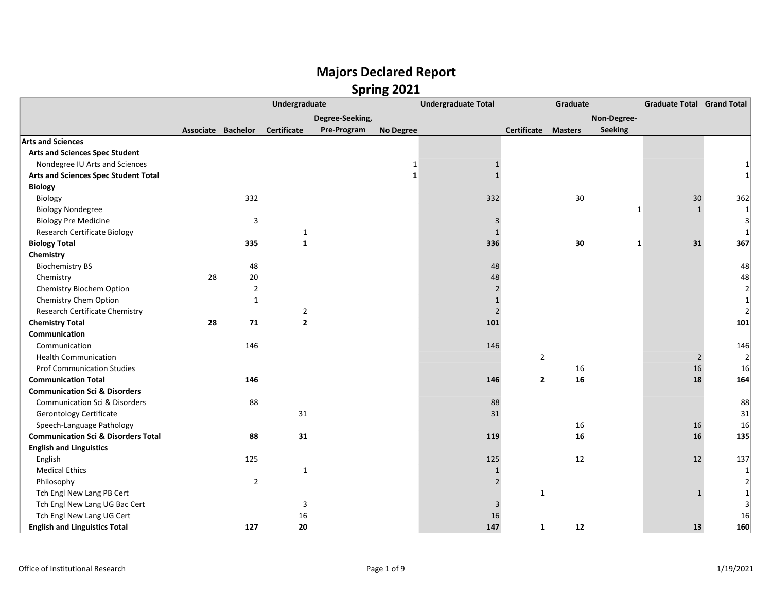|                                                |                    |                | Undergraduate      |                 |                  | <b>Undergraduate Total</b> | Graduate                      |                | <b>Graduate Total Grand Total</b> |        |
|------------------------------------------------|--------------------|----------------|--------------------|-----------------|------------------|----------------------------|-------------------------------|----------------|-----------------------------------|--------|
|                                                |                    |                |                    | Degree-Seeking, |                  |                            |                               | Non-Degree-    |                                   |        |
|                                                | Associate Bachelor |                | <b>Certificate</b> | Pre-Program     | <b>No Degree</b> |                            | Certificate<br><b>Masters</b> | <b>Seeking</b> |                                   |        |
| <b>Arts and Sciences</b>                       |                    |                |                    |                 |                  |                            |                               |                |                                   |        |
| <b>Arts and Sciences Spec Student</b>          |                    |                |                    |                 |                  |                            |                               |                |                                   |        |
| Nondegree IU Arts and Sciences                 |                    |                |                    |                 | $\mathbf 1$      | $\mathbf{1}$               |                               |                |                                   |        |
| Arts and Sciences Spec Student Total           |                    |                |                    |                 | $\mathbf{1}$     | $\mathbf{1}$               |                               |                |                                   |        |
| <b>Biology</b>                                 |                    |                |                    |                 |                  |                            |                               |                |                                   |        |
| Biology                                        |                    | 332            |                    |                 |                  | 332                        | 30                            |                | 30                                | 362    |
| <b>Biology Nondegree</b>                       |                    |                |                    |                 |                  |                            |                               | 1              | $\mathbf{1}$                      | 1      |
| <b>Biology Pre Medicine</b>                    |                    | 3              |                    |                 |                  | 3                          |                               |                |                                   |        |
| <b>Research Certificate Biology</b>            |                    |                | $\mathbf{1}$       |                 |                  | $\mathbf{1}$               |                               |                |                                   |        |
| <b>Biology Total</b>                           |                    | 335            | $\mathbf{1}$       |                 |                  | 336                        | 30                            | 1              | 31                                | 367    |
| Chemistry                                      |                    |                |                    |                 |                  |                            |                               |                |                                   |        |
| <b>Biochemistry BS</b>                         |                    | 48             |                    |                 |                  | 48                         |                               |                |                                   | 48     |
| Chemistry                                      | 28                 | $20\,$         |                    |                 |                  | 48                         |                               |                |                                   | 48     |
| Chemistry Biochem Option                       |                    | $\overline{2}$ |                    |                 |                  | $\overline{2}$             |                               |                |                                   | 2      |
| Chemistry Chem Option                          |                    | $\mathbf{1}$   |                    |                 |                  | $\mathbf{1}$               |                               |                |                                   |        |
| Research Certificate Chemistry                 |                    |                | $\overline{2}$     |                 |                  | $\mathbf 2$                |                               |                |                                   |        |
| <b>Chemistry Total</b>                         | 28                 | 71             | $\overline{2}$     |                 |                  | 101                        |                               |                |                                   | 101    |
| Communication                                  |                    |                |                    |                 |                  |                            |                               |                |                                   |        |
| Communication                                  |                    | 146            |                    |                 |                  | 146                        |                               |                |                                   | 146    |
| <b>Health Communication</b>                    |                    |                |                    |                 |                  |                            | $\overline{2}$                |                | $\overline{2}$                    |        |
| <b>Prof Communication Studies</b>              |                    |                |                    |                 |                  |                            | 16                            |                | 16                                | 16     |
| <b>Communication Total</b>                     |                    | 146            |                    |                 |                  | 146                        | 16<br>$\overline{2}$          |                | 18                                | 164    |
| <b>Communication Sci &amp; Disorders</b>       |                    |                |                    |                 |                  |                            |                               |                |                                   |        |
| <b>Communication Sci &amp; Disorders</b>       |                    | 88             |                    |                 |                  | 88                         |                               |                |                                   | 88     |
| <b>Gerontology Certificate</b>                 |                    |                | 31                 |                 |                  | 31                         |                               |                |                                   | 31     |
| Speech-Language Pathology                      |                    |                |                    |                 |                  |                            | 16                            |                | 16                                | 16     |
| <b>Communication Sci &amp; Disorders Total</b> |                    | 88             | 31                 |                 |                  | 119                        | 16                            |                | 16                                | 135    |
| <b>English and Linguistics</b>                 |                    |                |                    |                 |                  |                            |                               |                |                                   |        |
| English                                        |                    | 125            |                    |                 |                  | 125                        | 12                            |                | 12                                | 137    |
| <b>Medical Ethics</b>                          |                    |                | $\mathbf{1}$       |                 |                  | $\mathbf{1}$               |                               |                |                                   |        |
| Philosophy                                     |                    | $\overline{2}$ |                    |                 |                  | $\overline{2}$             |                               |                |                                   |        |
| Tch Engl New Lang PB Cert                      |                    |                |                    |                 |                  |                            | $\mathbf{1}$                  |                |                                   |        |
| Tch Engl New Lang UG Bac Cert                  |                    |                | 3                  |                 |                  | 3                          |                               |                |                                   |        |
| Tch Engl New Lang UG Cert                      |                    |                | 16                 |                 |                  | 16                         |                               |                |                                   | $16\,$ |
| <b>English and Linguistics Total</b>           |                    | 127            | 20                 |                 |                  | 147                        | $\mathbf{1}$<br>12            |                | 13                                | 160    |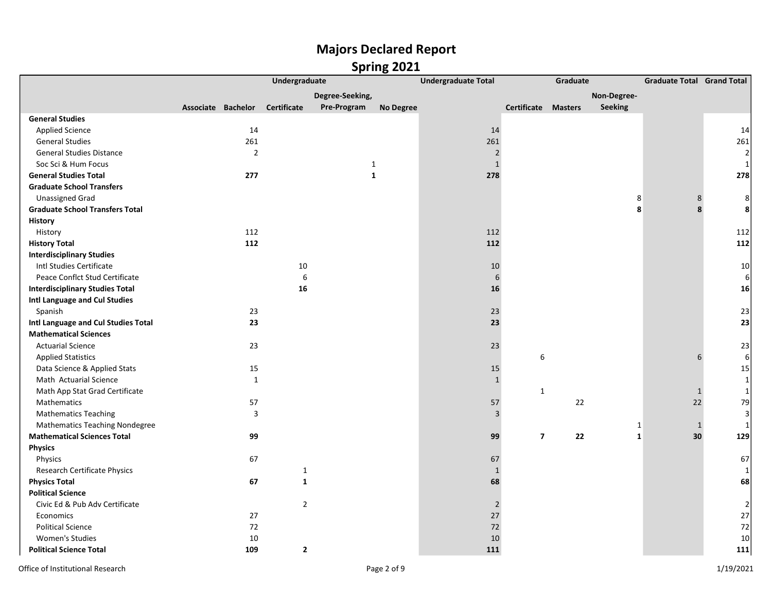|                                        | Undergraduate      |                |                |                 | <b>Undergraduate Total</b> |                | Graduate                | <b>Graduate Total Grand Total</b> |              |              |                |
|----------------------------------------|--------------------|----------------|----------------|-----------------|----------------------------|----------------|-------------------------|-----------------------------------|--------------|--------------|----------------|
|                                        |                    |                |                | Degree-Seeking, |                            |                |                         |                                   | Non-Degree-  |              |                |
|                                        | Associate Bachelor |                | Certificate    | Pre-Program     | <b>No Degree</b>           |                | Certificate Masters     |                                   | Seeking      |              |                |
| <b>General Studies</b>                 |                    |                |                |                 |                            |                |                         |                                   |              |              |                |
| <b>Applied Science</b>                 |                    | 14             |                |                 |                            | 14             |                         |                                   |              |              | 14             |
| <b>General Studies</b>                 |                    | 261            |                |                 |                            | 261            |                         |                                   |              |              | 261            |
| <b>General Studies Distance</b>        |                    | $\overline{2}$ |                |                 |                            | $\sqrt{2}$     |                         |                                   |              |              | 2              |
| Soc Sci & Hum Focus                    |                    |                |                | $\mathbf{1}$    |                            | $\mathbf{1}$   |                         |                                   |              |              | 1              |
| <b>General Studies Total</b>           |                    | 277            |                | 1               |                            | 278            |                         |                                   |              |              | 278            |
| <b>Graduate School Transfers</b>       |                    |                |                |                 |                            |                |                         |                                   |              |              |                |
| <b>Unassigned Grad</b>                 |                    |                |                |                 |                            |                |                         |                                   | 8            | 8            | 8              |
| <b>Graduate School Transfers Total</b> |                    |                |                |                 |                            |                |                         |                                   | 8            | 8            | 8              |
| History                                |                    |                |                |                 |                            |                |                         |                                   |              |              |                |
| History                                |                    | 112            |                |                 |                            | 112            |                         |                                   |              |              | 112            |
| <b>History Total</b>                   |                    | 112            |                |                 |                            | 112            |                         |                                   |              |              | 112            |
| <b>Interdisciplinary Studies</b>       |                    |                |                |                 |                            |                |                         |                                   |              |              |                |
| Intl Studies Certificate               |                    |                | 10             |                 |                            | 10             |                         |                                   |              |              | 10             |
| Peace Conflct Stud Certificate         |                    |                | 6              |                 |                            | 6              |                         |                                   |              |              | 6              |
| <b>Interdisciplinary Studies Total</b> |                    |                | 16             |                 |                            | 16             |                         |                                   |              |              | 16             |
| Intl Language and Cul Studies          |                    |                |                |                 |                            |                |                         |                                   |              |              |                |
| Spanish                                |                    | 23             |                |                 |                            | 23             |                         |                                   |              |              | 23             |
| Intl Language and Cul Studies Total    |                    | 23             |                |                 |                            | 23             |                         |                                   |              |              | 23             |
| <b>Mathematical Sciences</b>           |                    |                |                |                 |                            |                |                         |                                   |              |              |                |
| <b>Actuarial Science</b>               |                    | 23             |                |                 |                            | 23             |                         |                                   |              |              | 23             |
| <b>Applied Statistics</b>              |                    |                |                |                 |                            |                | 6                       |                                   |              | 6            | 6              |
| Data Science & Applied Stats           |                    | 15             |                |                 |                            | 15             |                         |                                   |              |              | 15             |
| Math Actuarial Science                 |                    | $\mathbf{1}$   |                |                 |                            | $\mathbf{1}$   |                         |                                   |              |              | $\mathbf{1}$   |
| Math App Stat Grad Certificate         |                    |                |                |                 |                            |                | $\mathbf{1}$            |                                   |              | $\mathbf{1}$ | $\vert$ 1      |
| Mathematics                            |                    | 57             |                |                 |                            | 57             |                         | 22                                |              | 22           | 79             |
| <b>Mathematics Teaching</b>            |                    | 3              |                |                 |                            | $\overline{3}$ |                         |                                   |              |              | $\overline{3}$ |
| <b>Mathematics Teaching Nondegree</b>  |                    |                |                |                 |                            |                |                         |                                   | 1            | $\mathbf{1}$ | 1              |
| <b>Mathematical Sciences Total</b>     |                    | 99             |                |                 |                            | 99             | $\overline{\mathbf{z}}$ | 22                                | $\mathbf{1}$ | 30           | 129            |
| <b>Physics</b>                         |                    |                |                |                 |                            |                |                         |                                   |              |              |                |
| Physics                                |                    | 67             |                |                 |                            | 67             |                         |                                   |              |              | 67             |
| Research Certificate Physics           |                    |                | $\mathbf{1}$   |                 |                            | $\mathbf{1}$   |                         |                                   |              |              | 1              |
| <b>Physics Total</b>                   |                    | 67             | $\mathbf{1}$   |                 |                            | 68             |                         |                                   |              |              | 68             |
| <b>Political Science</b>               |                    |                |                |                 |                            |                |                         |                                   |              |              |                |
| Civic Ed & Pub Adv Certificate         |                    |                | $\overline{2}$ |                 |                            | $\sqrt{2}$     |                         |                                   |              |              | $\overline{2}$ |
| Economics                              |                    | 27             |                |                 |                            | 27             |                         |                                   |              |              | 27             |
| <b>Political Science</b>               |                    | 72             |                |                 |                            | 72             |                         |                                   |              |              | 72             |
| <b>Women's Studies</b>                 |                    | 10             |                |                 |                            | $10\,$         |                         |                                   |              |              | $10\,$         |
| <b>Political Science Total</b>         |                    | 109            | $\mathbf{2}$   |                 |                            | 111            |                         |                                   |              |              | 111            |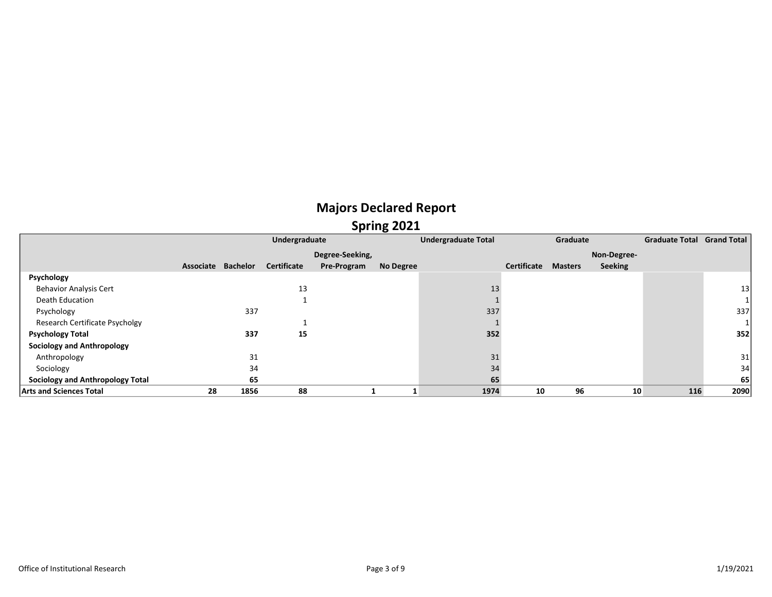|                                         |           |                 | Undergraduate      |                 | <b>Undergraduate Total</b> |      | Graduate    |                | <b>Graduate Total Grand Total</b> |     |      |
|-----------------------------------------|-----------|-----------------|--------------------|-----------------|----------------------------|------|-------------|----------------|-----------------------------------|-----|------|
|                                         |           |                 |                    | Degree-Seeking, |                            |      |             |                | Non-Degree-                       |     |      |
|                                         | Associate | <b>Bachelor</b> | <b>Certificate</b> | Pre-Program     | <b>No Degree</b>           |      | Certificate | <b>Masters</b> | <b>Seeking</b>                    |     |      |
| Psychology                              |           |                 |                    |                 |                            |      |             |                |                                   |     |      |
| <b>Behavior Analysis Cert</b>           |           |                 | 13                 |                 |                            | 13   |             |                |                                   |     | 13   |
| Death Education                         |           |                 |                    |                 |                            |      |             |                |                                   |     |      |
| Psychology                              |           | 337             |                    |                 |                            | 337  |             |                |                                   |     | 337  |
| Research Certificate Psycholgy          |           |                 |                    |                 |                            |      |             |                |                                   |     |      |
| <b>Psychology Total</b>                 |           | 337             | 15                 |                 |                            | 352  |             |                |                                   |     | 352  |
| <b>Sociology and Anthropology</b>       |           |                 |                    |                 |                            |      |             |                |                                   |     |      |
| Anthropology                            |           | 31              |                    |                 |                            | 31   |             |                |                                   |     | 31   |
| Sociology                               |           | 34              |                    |                 |                            | 34   |             |                |                                   |     | 34   |
| <b>Sociology and Anthropology Total</b> |           | 65              |                    |                 |                            | 65   |             |                |                                   |     | 65   |
| <b>Arts and Sciences Total</b>          | 28        | 1856            | 88                 |                 |                            | 1974 | 10          | 96             | 10                                | 116 | 2090 |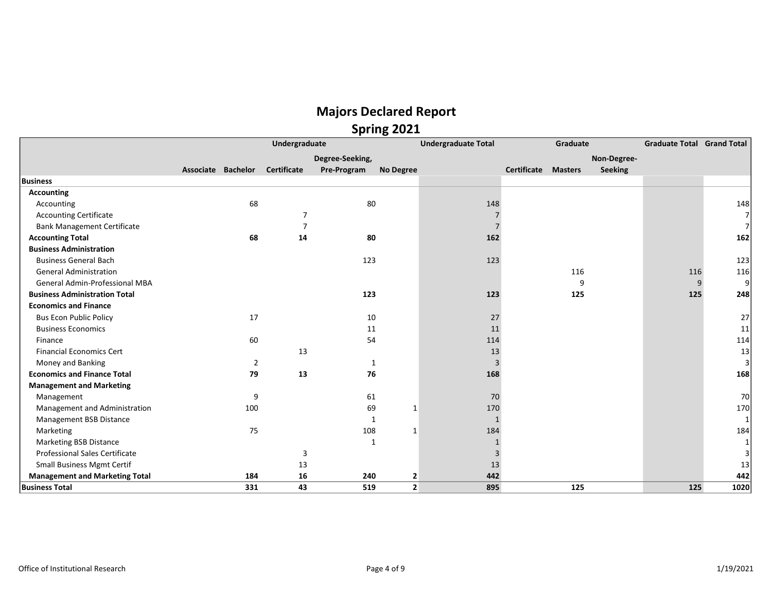|                                       | Undergraduate      |     |                    |                 |                         | <b>Undergraduate Total</b> | Graduate            |     |                | <b>Graduate Total Grand Total</b> |      |
|---------------------------------------|--------------------|-----|--------------------|-----------------|-------------------------|----------------------------|---------------------|-----|----------------|-----------------------------------|------|
|                                       |                    |     |                    | Degree-Seeking, |                         |                            |                     |     | Non-Degree-    |                                   |      |
|                                       | Associate Bachelor |     | <b>Certificate</b> | Pre-Program     | No Degree               |                            | Certificate Masters |     | <b>Seeking</b> |                                   |      |
| <b>Business</b>                       |                    |     |                    |                 |                         |                            |                     |     |                |                                   |      |
| <b>Accounting</b>                     |                    |     |                    |                 |                         |                            |                     |     |                |                                   |      |
| Accounting                            |                    | 68  |                    | 80              |                         | 148                        |                     |     |                |                                   | 148  |
| <b>Accounting Certificate</b>         |                    |     | $\overline{7}$     |                 |                         |                            |                     |     |                |                                   |      |
| <b>Bank Management Certificate</b>    |                    |     |                    |                 |                         |                            |                     |     |                |                                   |      |
| <b>Accounting Total</b>               |                    | 68  | 14                 | 80              |                         | 162                        |                     |     |                |                                   | 162  |
| <b>Business Administration</b>        |                    |     |                    |                 |                         |                            |                     |     |                |                                   |      |
| <b>Business General Bach</b>          |                    |     |                    | 123             |                         | 123                        |                     |     |                |                                   | 123  |
| <b>General Administration</b>         |                    |     |                    |                 |                         |                            |                     | 116 |                | 116                               | 116  |
| General Admin-Professional MBA        |                    |     |                    |                 |                         |                            |                     | q   |                | 9                                 |      |
| <b>Business Administration Total</b>  |                    |     |                    | 123             |                         | 123                        |                     | 125 |                | 125                               | 248  |
| <b>Economics and Finance</b>          |                    |     |                    |                 |                         |                            |                     |     |                |                                   |      |
| <b>Bus Econ Public Policy</b>         |                    | 17  |                    | 10              |                         | 27                         |                     |     |                |                                   | 27   |
| <b>Business Economics</b>             |                    |     |                    | 11              |                         | 11                         |                     |     |                |                                   | 11   |
| Finance                               |                    | 60  |                    | 54              |                         | 114                        |                     |     |                |                                   | 114  |
| <b>Financial Economics Cert</b>       |                    |     | 13                 |                 |                         | 13                         |                     |     |                |                                   | 13   |
| Money and Banking                     |                    | 2   |                    | 1               |                         | 3                          |                     |     |                |                                   |      |
| <b>Economics and Finance Total</b>    |                    | 79  | 13                 | 76              |                         | 168                        |                     |     |                |                                   | 168  |
| <b>Management and Marketing</b>       |                    |     |                    |                 |                         |                            |                     |     |                |                                   |      |
| Management                            |                    | 9   |                    | 61              |                         | 70                         |                     |     |                |                                   | 70   |
| Management and Administration         |                    | 100 |                    | 69              | $\mathbf{1}$            | 170                        |                     |     |                |                                   | 170  |
| Management BSB Distance               |                    |     |                    |                 |                         | 1                          |                     |     |                |                                   |      |
| Marketing                             |                    | 75  |                    | 108             | 1                       | 184                        |                     |     |                |                                   | 184  |
| <b>Marketing BSB Distance</b>         |                    |     |                    | $\mathbf{1}$    |                         |                            |                     |     |                |                                   |      |
| <b>Professional Sales Certificate</b> |                    |     | 3                  |                 |                         | 3                          |                     |     |                |                                   |      |
| <b>Small Business Mgmt Certif</b>     |                    |     | 13                 |                 |                         | 13                         |                     |     |                |                                   | 13   |
| <b>Management and Marketing Total</b> |                    | 184 | 16                 | 240             | $\overline{\mathbf{2}}$ | 442                        |                     |     |                |                                   | 442  |
| <b>Business Total</b>                 |                    | 331 | 43                 | 519             | 2                       | 895                        |                     | 125 |                | 125                               | 1020 |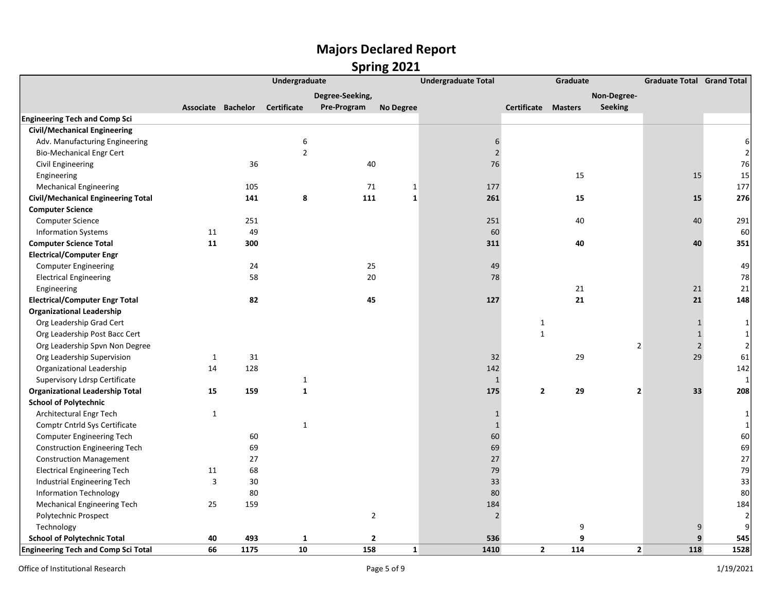|                                            | Undergraduate      |      |                    |                 |                  | <b>Undergraduate Total</b><br>Graduate |                       |                | <b>Graduate Total Grand Total</b> |                |
|--------------------------------------------|--------------------|------|--------------------|-----------------|------------------|----------------------------------------|-----------------------|----------------|-----------------------------------|----------------|
|                                            |                    |      |                    | Degree-Seeking, |                  |                                        |                       | Non-Degree-    |                                   |                |
|                                            | Associate Bachelor |      | <b>Certificate</b> | Pre-Program     | <b>No Degree</b> |                                        | Certificate Masters   | Seeking        |                                   |                |
| <b>Engineering Tech and Comp Sci</b>       |                    |      |                    |                 |                  |                                        |                       |                |                                   |                |
| <b>Civil/Mechanical Engineering</b>        |                    |      |                    |                 |                  |                                        |                       |                |                                   |                |
| Adv. Manufacturing Engineering             |                    |      | 6                  |                 |                  | 6                                      |                       |                |                                   | 6              |
| <b>Bio-Mechanical Engr Cert</b>            |                    |      | $\overline{2}$     |                 |                  | $\overline{2}$                         |                       |                |                                   | $\overline{2}$ |
| Civil Engineering                          |                    | 36   |                    | 40              |                  | $76\,$                                 |                       |                |                                   | 76             |
| Engineering                                |                    |      |                    |                 |                  |                                        | 15                    |                | 15                                | 15             |
| <b>Mechanical Engineering</b>              |                    | 105  |                    | 71              | $\mathbf 1$      | 177                                    |                       |                |                                   | 177            |
| <b>Civil/Mechanical Engineering Total</b>  |                    | 141  | 8                  | 111             | $\mathbf 1$      | 261                                    | 15                    |                | 15                                | 276            |
| <b>Computer Science</b>                    |                    |      |                    |                 |                  |                                        |                       |                |                                   |                |
| <b>Computer Science</b>                    |                    | 251  |                    |                 |                  | 251                                    | 40                    |                | 40                                | 291            |
| <b>Information Systems</b>                 | 11                 | 49   |                    |                 |                  | 60                                     |                       |                |                                   | 60             |
| <b>Computer Science Total</b>              | 11                 | 300  |                    |                 |                  | 311                                    | 40                    |                | 40                                | 351            |
| <b>Electrical/Computer Engr</b>            |                    |      |                    |                 |                  |                                        |                       |                |                                   |                |
| <b>Computer Engineering</b>                |                    | 24   |                    | 25              |                  | 49                                     |                       |                |                                   | 49             |
| <b>Electrical Engineering</b>              |                    | 58   |                    | 20              |                  | 78                                     |                       |                |                                   | 78             |
| Engineering                                |                    |      |                    |                 |                  |                                        | 21                    |                | 21                                | 21             |
| <b>Electrical/Computer Engr Total</b>      |                    | 82   |                    | 45              |                  | 127                                    | 21                    |                | 21                                | 148            |
| <b>Organizational Leadership</b>           |                    |      |                    |                 |                  |                                        |                       |                |                                   |                |
| Org Leadership Grad Cert                   |                    |      |                    |                 |                  |                                        | 1                     |                | $\mathbf{1}$                      | 1              |
| Org Leadership Post Bacc Cert              |                    |      |                    |                 |                  |                                        | $\mathbf{1}$          |                | $\mathbf 1$                       | $\mathbf{1}$   |
| Org Leadership Spvn Non Degree             |                    |      |                    |                 |                  |                                        |                       | $\overline{2}$ | $\mathbf 2$                       | $\overline{2}$ |
| Org Leadership Supervision                 | 1                  | 31   |                    |                 |                  | 32                                     | 29                    |                | 29                                | 61             |
| Organizational Leadership                  | 14                 | 128  |                    |                 |                  | 142                                    |                       |                |                                   | 142            |
| Supervisory Ldrsp Certificate              |                    |      | $\mathbf{1}$       |                 |                  | $\mathbf{1}$                           |                       |                |                                   |                |
| <b>Organizational Leadership Total</b>     | 15                 | 159  | $\mathbf{1}$       |                 |                  | 175                                    | 29<br>$\overline{2}$  | $\overline{2}$ | 33                                | 208            |
| <b>School of Polytechnic</b>               |                    |      |                    |                 |                  |                                        |                       |                |                                   |                |
| Architectural Engr Tech                    | $\mathbf{1}$       |      |                    |                 |                  | $1\,$                                  |                       |                |                                   | 1              |
| Comptr Cntrld Sys Certificate              |                    |      | $\mathbf{1}$       |                 |                  | $\mathbf{1}$                           |                       |                |                                   | 1              |
| <b>Computer Engineering Tech</b>           |                    | 60   |                    |                 |                  | 60                                     |                       |                |                                   | 60             |
| <b>Construction Engineering Tech</b>       |                    | 69   |                    |                 |                  | 69                                     |                       |                |                                   | 69             |
| <b>Construction Management</b>             |                    | 27   |                    |                 |                  | 27                                     |                       |                |                                   | 27             |
| <b>Electrical Engineering Tech</b>         | 11                 | 68   |                    |                 |                  | 79                                     |                       |                |                                   | 79             |
| Industrial Engineering Tech                | 3                  | 30   |                    |                 |                  | 33                                     |                       |                |                                   | 33             |
| <b>Information Technology</b>              |                    | 80   |                    |                 |                  | 80                                     |                       |                |                                   | 80             |
| <b>Mechanical Engineering Tech</b>         | 25                 | 159  |                    |                 |                  | 184                                    |                       |                |                                   | 184            |
| Polytechnic Prospect                       |                    |      |                    | $\overline{2}$  |                  | $\overline{2}$                         |                       |                |                                   | 2              |
| Technology                                 |                    |      |                    |                 |                  |                                        | 9                     |                | 9                                 | 9              |
| <b>School of Polytechnic Total</b>         | 40                 | 493  | 1                  | $\overline{2}$  |                  | 536                                    | 9                     |                | 9                                 | 545            |
| <b>Engineering Tech and Comp Sci Total</b> | 66                 | 1175 | 10                 | 158             | $\mathbf{1}$     | 1410                                   | 114<br>$\overline{2}$ | 2 <sup>1</sup> | 118                               | 1528           |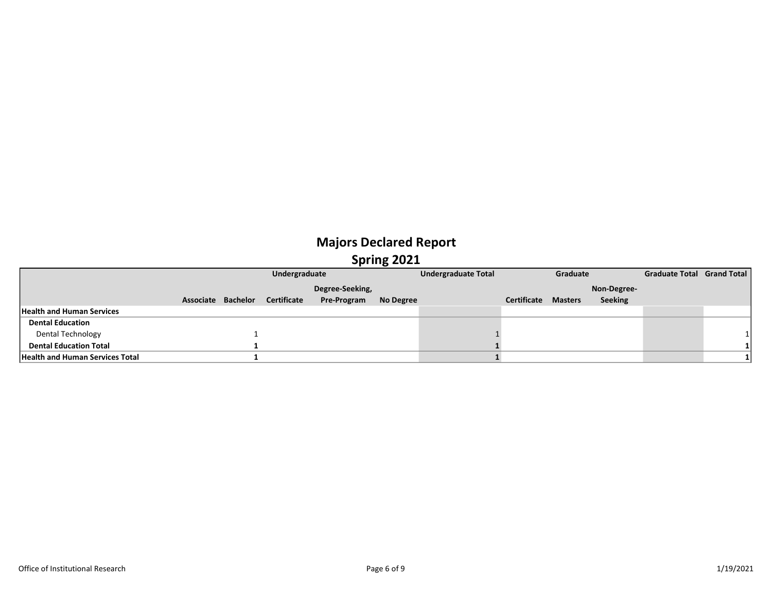|                                        |                    | Undergraduate |                       | <b>Undergraduate Total</b> |                            | Graduate | <b>Graduate Total Grand Total</b> |  |  |
|----------------------------------------|--------------------|---------------|-----------------------|----------------------------|----------------------------|----------|-----------------------------------|--|--|
|                                        |                    |               | Degree-Seeking,       |                            |                            |          | Non-Degree-                       |  |  |
|                                        | Associate Bachelor | Certificate   | Pre-Program No Degree |                            | <b>Certificate Masters</b> |          | <b>Seeking</b>                    |  |  |
| <b>Health and Human Services</b>       |                    |               |                       |                            |                            |          |                                   |  |  |
| <b>Dental Education</b>                |                    |               |                       |                            |                            |          |                                   |  |  |
| <b>Dental Technology</b>               |                    |               |                       |                            |                            |          |                                   |  |  |
| <b>Dental Education Total</b>          |                    |               |                       |                            |                            |          |                                   |  |  |
| <b>Health and Human Services Total</b> |                    |               |                       |                            |                            |          |                                   |  |  |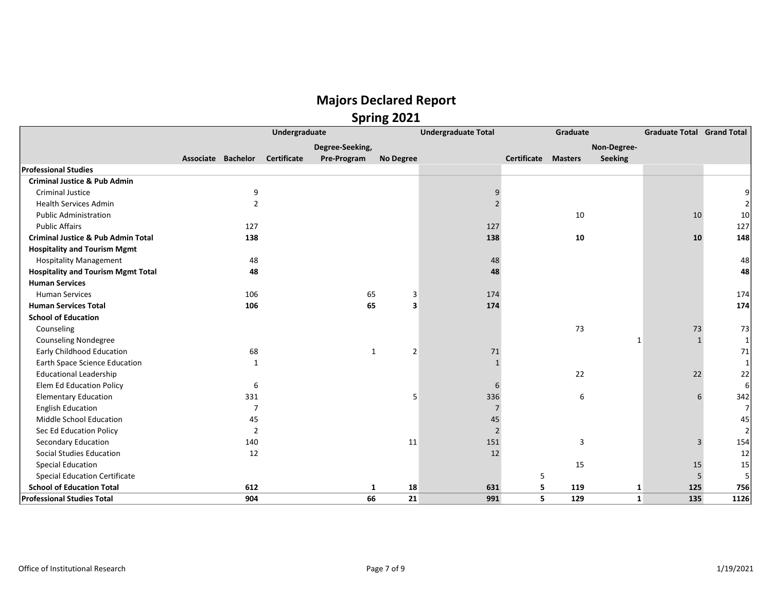|                                               |                    |                | Undergraduate |                 |                  | <b>Undergraduate Total</b> |                            | Graduate |              | <b>Graduate Total Grand Total</b> |      |
|-----------------------------------------------|--------------------|----------------|---------------|-----------------|------------------|----------------------------|----------------------------|----------|--------------|-----------------------------------|------|
|                                               |                    |                |               | Degree-Seeking, |                  |                            |                            |          | Non-Degree-  |                                   |      |
|                                               | Associate Bachelor |                | Certificate   | Pre-Program     | <b>No Degree</b> |                            | <b>Certificate Masters</b> |          | Seeking      |                                   |      |
| <b>Professional Studies</b>                   |                    |                |               |                 |                  |                            |                            |          |              |                                   |      |
| <b>Criminal Justice &amp; Pub Admin</b>       |                    |                |               |                 |                  |                            |                            |          |              |                                   |      |
| <b>Criminal Justice</b>                       |                    | 9              |               |                 |                  | 9                          |                            |          |              |                                   |      |
| <b>Health Services Admin</b>                  |                    | $\overline{2}$ |               |                 |                  |                            |                            |          |              |                                   |      |
| <b>Public Administration</b>                  |                    |                |               |                 |                  |                            |                            | 10       |              | 10                                | 10   |
| <b>Public Affairs</b>                         |                    | 127            |               |                 |                  | 127                        |                            |          |              |                                   | 127  |
| <b>Criminal Justice &amp; Pub Admin Total</b> |                    | 138            |               |                 |                  | 138                        |                            | 10       |              | 10                                | 148  |
| <b>Hospitality and Tourism Mgmt</b>           |                    |                |               |                 |                  |                            |                            |          |              |                                   |      |
| <b>Hospitality Management</b>                 |                    | 48             |               |                 |                  | 48                         |                            |          |              |                                   | 48   |
| <b>Hospitality and Tourism Mgmt Total</b>     |                    | 48             |               |                 |                  | 48                         |                            |          |              |                                   | 48   |
| <b>Human Services</b>                         |                    |                |               |                 |                  |                            |                            |          |              |                                   |      |
| <b>Human Services</b>                         |                    | 106            |               | 65              | 3                | 174                        |                            |          |              |                                   | 174  |
| <b>Human Services Total</b>                   |                    | 106            |               | 65              | 3                | 174                        |                            |          |              |                                   | 174  |
| <b>School of Education</b>                    |                    |                |               |                 |                  |                            |                            |          |              |                                   |      |
| Counseling                                    |                    |                |               |                 |                  |                            |                            | 73       |              | 73                                | 73   |
| <b>Counseling Nondegree</b>                   |                    |                |               |                 |                  |                            |                            |          | $\mathbf 1$  | $\mathbf{1}$                      |      |
| <b>Early Childhood Education</b>              |                    | 68             |               | 1               | 2                | 71                         |                            |          |              |                                   | 71   |
| Earth Space Science Education                 |                    | $\mathbf{1}$   |               |                 |                  |                            |                            |          |              |                                   |      |
| <b>Educational Leadership</b>                 |                    |                |               |                 |                  |                            |                            | 22       |              | 22                                | 22   |
| Elem Ed Education Policy                      |                    | 6              |               |                 |                  | 6                          |                            |          |              |                                   |      |
| <b>Elementary Education</b>                   |                    | 331            |               |                 | 5                | 336                        |                            | 6        |              | 6                                 | 342  |
| <b>English Education</b>                      |                    | $\overline{7}$ |               |                 |                  | $\overline{7}$             |                            |          |              |                                   |      |
| Middle School Education                       |                    | 45             |               |                 |                  | $45\,$                     |                            |          |              |                                   | 45   |
| Sec Ed Education Policy                       |                    | $\overline{2}$ |               |                 |                  | $\overline{2}$             |                            |          |              |                                   |      |
| Secondary Education                           |                    | 140            |               |                 | 11               | 151                        |                            | 3        |              | 3                                 | 154  |
| Social Studies Education                      |                    | 12             |               |                 |                  | 12                         |                            |          |              |                                   | 12   |
| <b>Special Education</b>                      |                    |                |               |                 |                  |                            |                            | 15       |              | 15                                | 15   |
| <b>Special Education Certificate</b>          |                    |                |               |                 |                  |                            | 5                          |          |              | 5                                 |      |
| <b>School of Education Total</b>              |                    | 612            |               | 1               | 18               | 631                        | 5                          | 119      | 1            | 125                               | 756  |
| <b>Professional Studies Total</b>             |                    | 904            |               | 66              | 21               | 991                        | 5                          | 129      | $\mathbf{1}$ | 135                               | 1126 |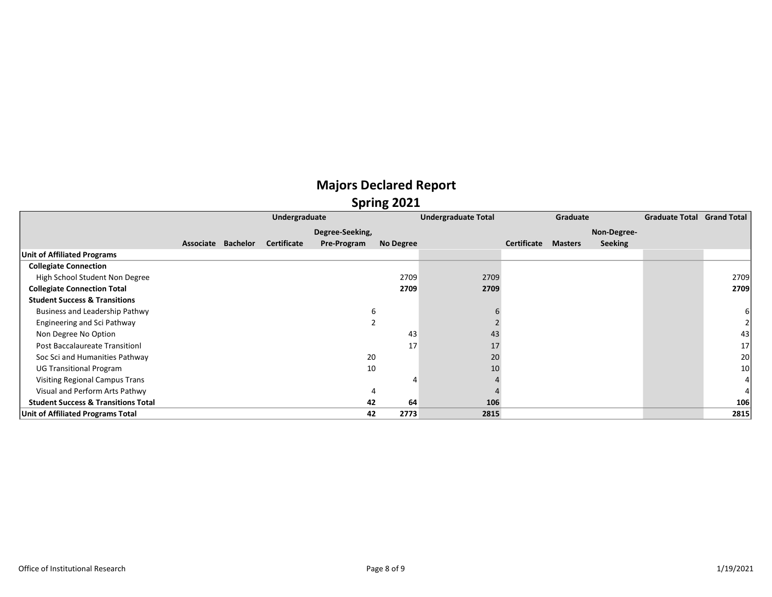#### Majors Declared Report Spring 2021

|                                                | Undergraduate      |                    |                 | <b>Undergraduate Total</b> | Graduate |             |                | <b>Graduate Total Grand Total</b> |  |                 |
|------------------------------------------------|--------------------|--------------------|-----------------|----------------------------|----------|-------------|----------------|-----------------------------------|--|-----------------|
|                                                |                    |                    | Degree-Seeking, |                            |          |             |                | Non-Degree-                       |  |                 |
|                                                | Associate Bachelor | <b>Certificate</b> | Pre-Program     | No Degree                  |          | Certificate | <b>Masters</b> | <b>Seeking</b>                    |  |                 |
| <b>Unit of Affiliated Programs</b>             |                    |                    |                 |                            |          |             |                |                                   |  |                 |
| <b>Collegiate Connection</b>                   |                    |                    |                 |                            |          |             |                |                                   |  |                 |
| High School Student Non Degree                 |                    |                    |                 | 2709                       | 2709     |             |                |                                   |  | 2709            |
| <b>Collegiate Connection Total</b>             |                    |                    |                 | 2709                       | 2709     |             |                |                                   |  | 2709            |
| <b>Student Success &amp; Transitions</b>       |                    |                    |                 |                            |          |             |                |                                   |  |                 |
| Business and Leadership Pathwy                 |                    |                    |                 | b                          |          |             |                |                                   |  |                 |
| Engineering and Sci Pathway                    |                    |                    |                 |                            |          |             |                |                                   |  |                 |
| Non Degree No Option                           |                    |                    |                 | 43                         | 43       |             |                |                                   |  | 43              |
| <b>Post Baccalaureate Transitionl</b>          |                    |                    |                 | 17                         | 17       |             |                |                                   |  | 17              |
| Soc Sci and Humanities Pathway                 |                    |                    | 20              |                            | 20       |             |                |                                   |  | 20 <sup>1</sup> |
| <b>UG Transitional Program</b>                 |                    |                    | 10              |                            | 10       |             |                |                                   |  | 10 <sup>1</sup> |
| Visiting Regional Campus Trans                 |                    |                    |                 |                            |          |             |                |                                   |  |                 |
| Visual and Perform Arts Pathwy                 |                    |                    |                 |                            |          |             |                |                                   |  |                 |
| <b>Student Success &amp; Transitions Total</b> |                    |                    | 42              | 64                         | 106      |             |                |                                   |  | 106             |
| Unit of Affiliated Programs Total              |                    |                    | 42              | 2773                       | 2815     |             |                |                                   |  | 2815            |